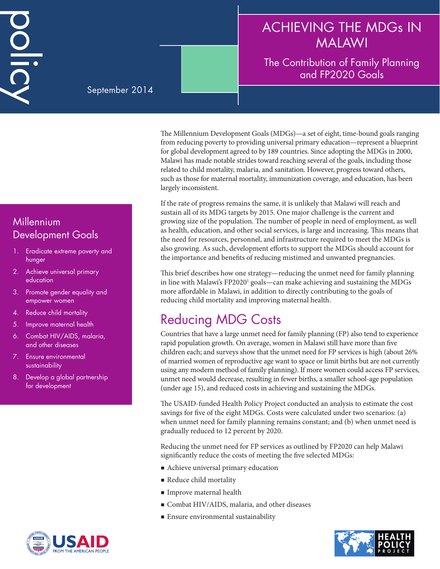# ACHIEVING THE MDGs IN MALAWI

#### The Contribution of Family Planning and FP2020 Goals

#### September 2014

**Millennium** Development Goals

DOID

- 1. Eradicate extreme poverty and hunger
- 2. Achieve universal primary education
- 3. Promote gender equality and empower women
- 4. Reduce child mortality
- 5. Improve maternal health
- 6. Combat HIV/AIDS, malaria, and other diseases
- 7. Ensure environmental sustainability
- 8. Develop a global partnership for development



The Millennium Development Goals (MDGs)—a set of eight, time-bound goals ranging from reducing poverty to providing universal primary education—represent a blueprint for global development agreed to by 189 countries. Since adopting the MDGs in 2000, Malawi has made notable strides toward reaching several of the goals, including those related to child mortality, malaria, and sanitation. However, progress toward others, such as those for maternal mortality, immunization coverage, and education, has been largely inconsistent.

If the rate of progress remains the same, it is unlikely that Malawi will reach and sustain all of its MDG targets by 2015. One major challenge is the current and growing size of the population. The number of people in need of employment, as well as health, education, and other social services, is large and increasing. This means that the need for resources, personnel, and infrastructure required to meet the MDGs is also growing. As such, development efforts to support the MDGs should account for the importance and benefits of reducing mistimed and unwanted pregnancies.

This brief describes how one strategy—reducing the unmet need for family planning in line with Malawi's FP2020<sup>1</sup> goals—can make achieving and sustaining the MDGs more affordable in Malawi, in addition to directly contributing to the goals of reducing child mortality and improving maternal health.

# Reducing MDG Costs

Countries that have a large unmet need for family planning (FP) also tend to experience rapid population growth. On average, women in Malawi still have more than five children each; and surveys show that the unmet need for FP services is high (about 26% of married women of reproductive age want to space or limit births but are not currently using any modern method of family planning). If more women could access FP services, unmet need would decrease, resulting in fewer births, a smaller school-age population (under age 15), and reduced costs in achieving and sustaining the MDGs.

The USAID-funded Health Policy Project conducted an analysis to estimate the cost savings for five of the eight MDGs. Costs were calculated under two scenarios: (a) when unmet need for family planning remains constant; and (b) when unmet need is gradually reduced to 12 percent by 2020.

Reducing the unmet need for FP services as outlined by FP2020 can help Malawi significantly reduce the costs of meeting the five selected MDGs:

- Achieve universal primary education
- Reduce child mortality
- Improve maternal health
- Combat HIV/AIDS, malaria, and other diseases
- **Ensure environmental sustainability**